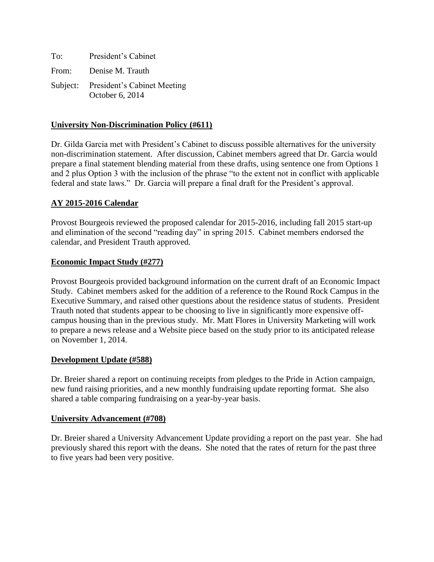| To:   | President's Cabinet                                     |
|-------|---------------------------------------------------------|
| From: | Denise M. Trauth                                        |
|       | Subject: President's Cabinet Meeting<br>October 6, 2014 |

### **University Non-Discrimination Policy (#611)**

Dr. Gilda Garcia met with President's Cabinet to discuss possible alternatives for the university non-discrimination statement. After discussion, Cabinet members agreed that Dr. Garcia would prepare a final statement blending material from these drafts, using sentence one from Options 1 and 2 plus Option 3 with the inclusion of the phrase "to the extent not in conflict with applicable federal and state laws." Dr. Garcia will prepare a final draft for the President's approval.

# **AY 2015-2016 Calendar**

Provost Bourgeois reviewed the proposed calendar for 2015-2016, including fall 2015 start-up and elimination of the second "reading day" in spring 2015. Cabinet members endorsed the calendar, and President Trauth approved.

### **Economic Impact Study (#277)**

Provost Bourgeois provided background information on the current draft of an Economic Impact Study. Cabinet members asked for the addition of a reference to the Round Rock Campus in the Executive Summary, and raised other questions about the residence status of students. President Trauth noted that students appear to be choosing to live in significantly more expensive offcampus housing than in the previous study. Mr. Matt Flores in University Marketing will work to prepare a news release and a Website piece based on the study prior to its anticipated release on November 1, 2014.

### **Development Update (#588)**

Dr. Breier shared a report on continuing receipts from pledges to the Pride in Action campaign, new fund raising priorities, and a new monthly fundraising update reporting format. She also shared a table comparing fundraising on a year-by-year basis.

#### **University Advancement (#708)**

Dr. Breier shared a University Advancement Update providing a report on the past year. She had previously shared this report with the deans. She noted that the rates of return for the past three to five years had been very positive.